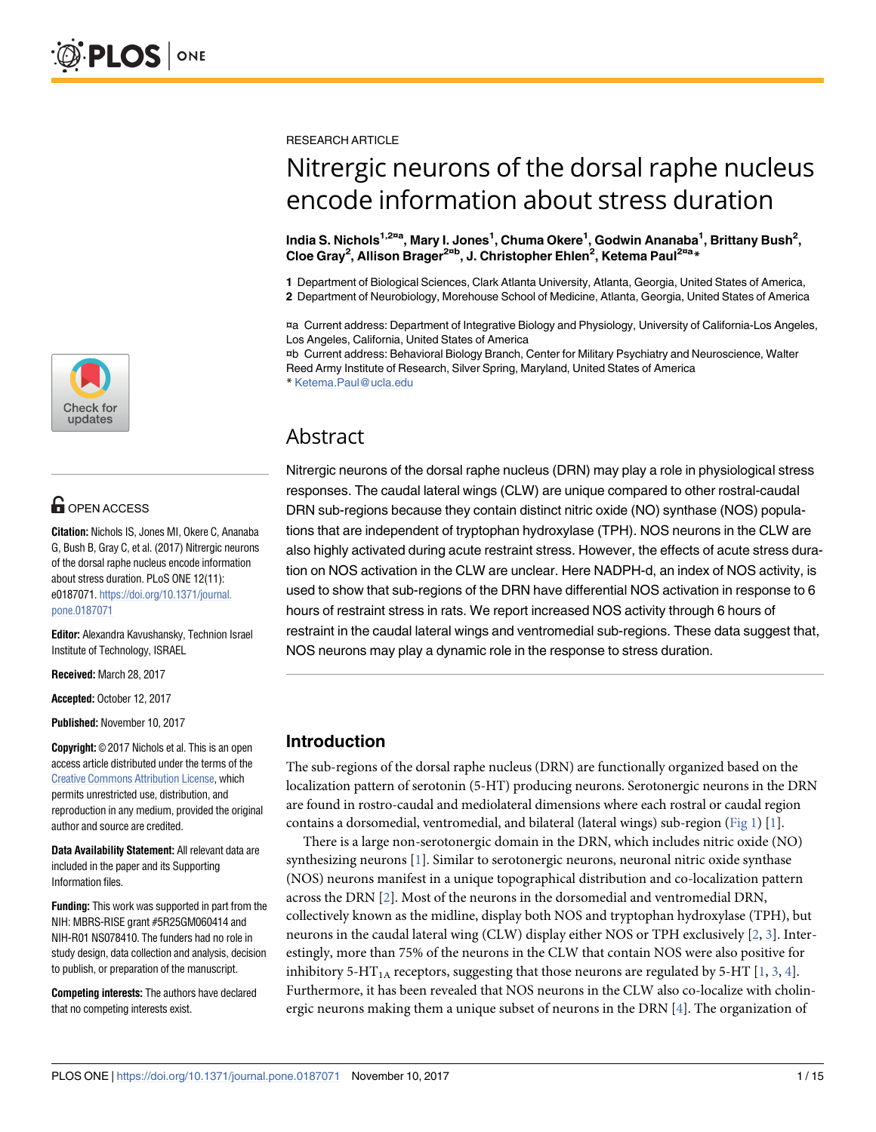

## **G** OPEN ACCESS

**Citation:** Nichols IS, Jones MI, Okere C, Ananaba G, Bush B, Gray C, et al. (2017) Nitrergic neurons of the dorsal raphe nucleus encode information about stress duration. PLoS ONE 12(11): e0187071. [https://doi.org/10.1371/journal.](https://doi.org/10.1371/journal.pone.0187071) [pone.0187071](https://doi.org/10.1371/journal.pone.0187071)

**Editor:** Alexandra Kavushansky, Technion Israel Institute of Technology, ISRAEL

**Received:** March 28, 2017

**Accepted:** October 12, 2017

**Published:** November 10, 2017

**Copyright:** © 2017 Nichols et al. This is an open access article distributed under the terms of the [Creative Commons Attribution License,](http://creativecommons.org/licenses/by/4.0/) which permits unrestricted use, distribution, and reproduction in any medium, provided the original author and source are credited.

**Data Availability Statement:** All relevant data are included in the paper and its Supporting Information files.

**Funding:** This work was supported in part from the NIH: MBRS-RISE grant #5R25GM060414 and NIH-R01 NS078410. The funders had no role in study design, data collection and analysis, decision to publish, or preparation of the manuscript.

**Competing interests:** The authors have declared that no competing interests exist.

<span id="page-0-0"></span>RESEARCH ARTICLE

# Nitrergic neurons of the dorsal raphe nucleus encode information about stress duration

**India S. Nichols1,2¤<sup>a</sup> , Mary I. Jones<sup>1</sup> , Chuma Okere<sup>1</sup> , Godwin Ananaba<sup>1</sup> , Brittany Bush<sup>2</sup> , Cloe Gray<sup>2</sup> , Allison Brager2¤<sup>b</sup> , J. Christopher Ehlen<sup>2</sup> , Ketema Paul2¤<sup>a</sup> \***

**1** Department of Biological Sciences, Clark Atlanta University, Atlanta, Georgia, United States of America,

**2** Department of Neurobiology, Morehouse School of Medicine, Atlanta, Georgia, United States of America

¤a Current address: Department of Integrative Biology and Physiology, University of California-Los Angeles, Los Angeles, California, United States of America

¤b Current address: Behavioral Biology Branch, Center for Military Psychiatry and Neuroscience, Walter Reed Army Institute of Research, Silver Spring, Maryland, United States of America \* Ketema.Paul@ucla.edu

Abstract

Nitrergic neurons of the dorsal raphe nucleus (DRN) may play a role in physiological stress responses. The caudal lateral wings (CLW) are unique compared to other rostral-caudal DRN sub-regions because they contain distinct nitric oxide (NO) synthase (NOS) populations that are independent of tryptophan hydroxylase (TPH). NOS neurons in the CLW are also highly activated during acute restraint stress. However, the effects of acute stress duration on NOS activation in the CLW are unclear. Here NADPH-d, an index of NOS activity, is used to show that sub-regions of the DRN have differential NOS activation in response to 6 hours of restraint stress in rats. We report increased NOS activity through 6 hours of restraint in the caudal lateral wings and ventromedial sub-regions. These data suggest that, NOS neurons may play a dynamic role in the response to stress duration.

## **Introduction**

The sub-regions of the dorsal raphe nucleus (DRN) are functionally organized based on the localization pattern of serotonin (5-HT) producing neurons. Serotonergic neurons in the DRN are found in rostro-caudal and mediolateral dimensions where each rostral or caudal region contains a dorsomedial, ventromedial, and bilateral (lateral wings) sub-region [\(Fig 1](#page-1-0)) [\[1\]](#page-13-0).

There is a large non-serotonergic domain in the DRN, which includes nitric oxide (NO) synthesizing neurons [\[1\]](#page-13-0). Similar to serotonergic neurons, neuronal nitric oxide synthase (NOS) neurons manifest in a unique topographical distribution and co-localization pattern across the DRN [\[2\]](#page-13-0). Most of the neurons in the dorsomedial and ventromedial DRN, collectively known as the midline, display both NOS and tryptophan hydroxylase (TPH), but neurons in the caudal lateral wing (CLW) display either NOS or TPH exclusively [\[2,](#page-13-0) [3\]](#page-13-0). Interestingly, more than 75% of the neurons in the CLW that contain NOS were also positive for inhibitory 5-HT<sub>1A</sub> receptors, suggesting that those neurons are regulated by 5-HT [\[1](#page-13-0), [3](#page-13-0), [4](#page-13-0)]. Furthermore, it has been revealed that NOS neurons in the CLW also co-localize with cholinergic neurons making them a unique subset of neurons in the DRN [[4\]](#page-13-0). The organization of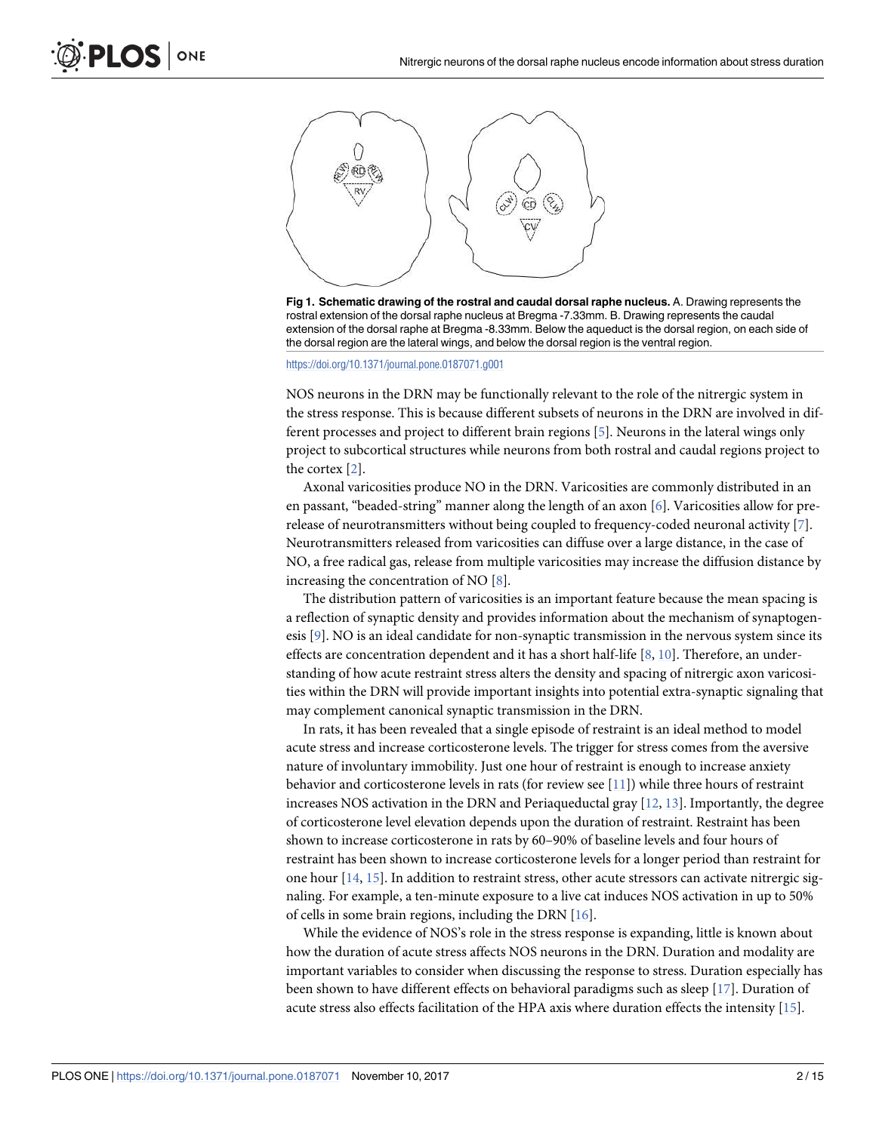<span id="page-1-0"></span>

**[Fig 1. S](#page-0-0)chematic drawing of the rostral and caudal dorsal raphe nucleus.** A. Drawing represents the rostral extension of the dorsal raphe nucleus at Bregma -7.33mm. B. Drawing represents the caudal extension of the dorsal raphe at Bregma -8.33mm. Below the aqueduct is the dorsal region, on each side of the dorsal region are the lateral wings, and below the dorsal region is the ventral region.

<https://doi.org/10.1371/journal.pone.0187071.g001>

NOS neurons in the DRN may be functionally relevant to the role of the nitrergic system in the stress response. This is because different subsets of neurons in the DRN are involved in different processes and project to different brain regions [\[5\]](#page-13-0). Neurons in the lateral wings only project to subcortical structures while neurons from both rostral and caudal regions project to the cortex [\[2\]](#page-13-0).

Axonal varicosities produce NO in the DRN. Varicosities are commonly distributed in an en passant, "beaded-string" manner along the length of an axon [\[6\]](#page-13-0). Varicosities allow for prerelease of neurotransmitters without being coupled to frequency-coded neuronal activity [[7\]](#page-14-0). Neurotransmitters released from varicosities can diffuse over a large distance, in the case of NO, a free radical gas, release from multiple varicosities may increase the diffusion distance by increasing the concentration of NO [[8](#page-14-0)].

The distribution pattern of varicosities is an important feature because the mean spacing is a reflection of synaptic density and provides information about the mechanism of synaptogenesis [[9\]](#page-14-0). NO is an ideal candidate for non-synaptic transmission in the nervous system since its effects are concentration dependent and it has a short half-life [[8,](#page-14-0) [10\]](#page-14-0). Therefore, an understanding of how acute restraint stress alters the density and spacing of nitrergic axon varicosities within the DRN will provide important insights into potential extra-synaptic signaling that may complement canonical synaptic transmission in the DRN.

In rats, it has been revealed that a single episode of restraint is an ideal method to model acute stress and increase corticosterone levels. The trigger for stress comes from the aversive nature of involuntary immobility. Just one hour of restraint is enough to increase anxiety behavior and corticosterone levels in rats (for review see [\[11\]](#page-14-0)) while three hours of restraint increases NOS activation in the DRN and Periaqueductal gray  $[12, 13]$  $[12, 13]$  $[12, 13]$ . Importantly, the degree of corticosterone level elevation depends upon the duration of restraint. Restraint has been shown to increase corticosterone in rats by 60–90% of baseline levels and four hours of restraint has been shown to increase corticosterone levels for a longer period than restraint for one hour  $[14, 15]$  $[14, 15]$  $[14, 15]$  $[14, 15]$  $[14, 15]$ . In addition to restraint stress, other acute stressors can activate nitrergic signaling. For example, a ten-minute exposure to a live cat induces NOS activation in up to 50% of cells in some brain regions, including the DRN [\[16\]](#page-14-0).

While the evidence of NOS's role in the stress response is expanding, little is known about how the duration of acute stress affects NOS neurons in the DRN. Duration and modality are important variables to consider when discussing the response to stress. Duration especially has been shown to have different effects on behavioral paradigms such as sleep [\[17\]](#page-14-0). Duration of acute stress also effects facilitation of the HPA axis where duration effects the intensity [[15](#page-14-0)].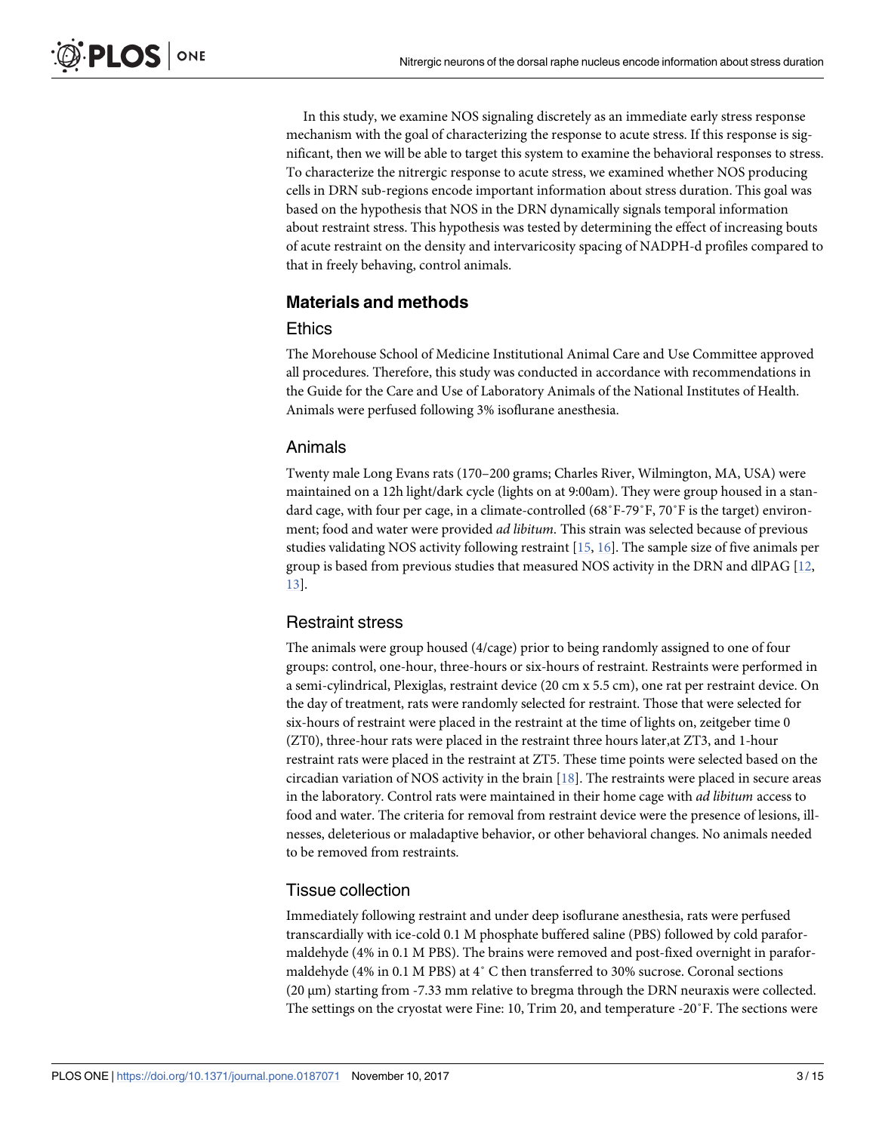<span id="page-2-0"></span>In this study, we examine NOS signaling discretely as an immediate early stress response mechanism with the goal of characterizing the response to acute stress. If this response is significant, then we will be able to target this system to examine the behavioral responses to stress. To characterize the nitrergic response to acute stress, we examined whether NOS producing cells in DRN sub-regions encode important information about stress duration. This goal was based on the hypothesis that NOS in the DRN dynamically signals temporal information about restraint stress. This hypothesis was tested by determining the effect of increasing bouts of acute restraint on the density and intervaricosity spacing of NADPH-d profiles compared to that in freely behaving, control animals.

## **Materials and methods**

#### **Ethics**

The Morehouse School of Medicine Institutional Animal Care and Use Committee approved all procedures. Therefore, this study was conducted in accordance with recommendations in the Guide for the Care and Use of Laboratory Animals of the National Institutes of Health. Animals were perfused following 3% isoflurane anesthesia.

## Animals

Twenty male Long Evans rats (170–200 grams; Charles River, Wilmington, MA, USA) were maintained on a 12h light/dark cycle (lights on at 9:00am). They were group housed in a standard cage, with four per cage, in a climate-controlled (68˚F-79˚F, 70˚F is the target) environment; food and water were provided ad libitum. This strain was selected because of previous studies validating NOS activity following restraint [[15](#page-14-0), [16](#page-14-0)]. The sample size of five animals per group is based from previous studies that measured NOS activity in the DRN and dlPAG [[12](#page-14-0), [13\]](#page-14-0).

## Restraint stress

The animals were group housed (4/cage) prior to being randomly assigned to one of four groups: control, one-hour, three-hours or six-hours of restraint. Restraints were performed in a semi-cylindrical, Plexiglas, restraint device (20 cm x 5.5 cm), one rat per restraint device. On the day of treatment, rats were randomly selected for restraint. Those that were selected for six-hours of restraint were placed in the restraint at the time of lights on, zeitgeber time 0 (ZT0), three-hour rats were placed in the restraint three hours later,at ZT3, and 1-hour restraint rats were placed in the restraint at ZT5. These time points were selected based on the circadian variation of NOS activity in the brain  $[18]$ . The restraints were placed in secure areas in the laboratory. Control rats were maintained in their home cage with ad libitum access to food and water. The criteria for removal from restraint device were the presence of lesions, illnesses, deleterious or maladaptive behavior, or other behavioral changes. No animals needed to be removed from restraints.

## Tissue collection

Immediately following restraint and under deep isoflurane anesthesia, rats were perfused transcardially with ice-cold 0.1 M phosphate buffered saline (PBS) followed by cold paraformaldehyde (4% in 0.1 M PBS). The brains were removed and post-fixed overnight in paraformaldehyde (4% in 0.1 M PBS) at 4˚ C then transferred to 30% sucrose. Coronal sections (20 μm) starting from -7.33 mm relative to bregma through the DRN neuraxis were collected. The settings on the cryostat were Fine: 10, Trim 20, and temperature -20˚F. The sections were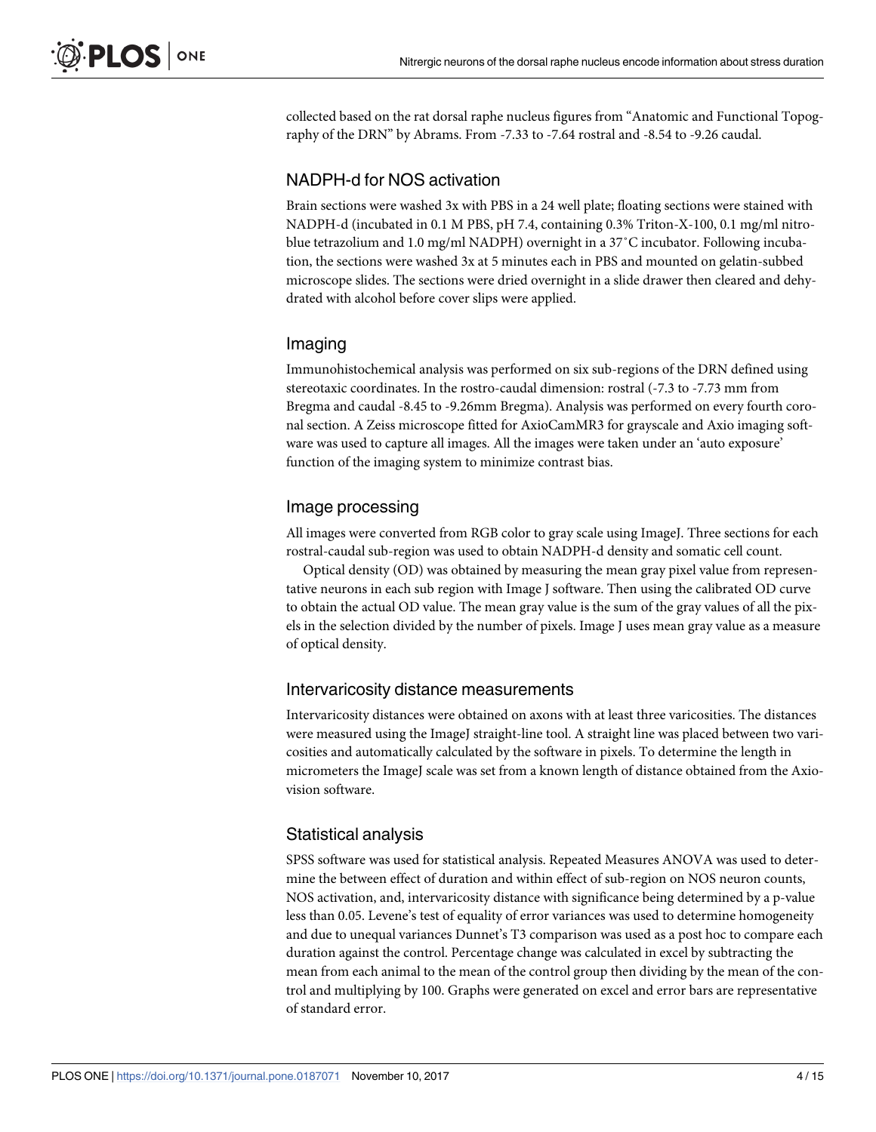collected based on the rat dorsal raphe nucleus figures from "Anatomic and Functional Topography of the DRN" by Abrams. From -7.33 to -7.64 rostral and -8.54 to -9.26 caudal.

#### NADPH-d for NOS activation

Brain sections were washed 3x with PBS in a 24 well plate; floating sections were stained with NADPH-d (incubated in 0.1 M PBS, pH 7.4, containing 0.3% Triton-X-100, 0.1 mg/ml nitroblue tetrazolium and 1.0 mg/ml NADPH) overnight in a 37˚C incubator. Following incubation, the sections were washed 3x at 5 minutes each in PBS and mounted on gelatin-subbed microscope slides. The sections were dried overnight in a slide drawer then cleared and dehydrated with alcohol before cover slips were applied.

#### Imaging

Immunohistochemical analysis was performed on six sub-regions of the DRN defined using stereotaxic coordinates. In the rostro-caudal dimension: rostral (-7.3 to -7.73 mm from Bregma and caudal -8.45 to -9.26mm Bregma). Analysis was performed on every fourth coronal section. A Zeiss microscope fitted for AxioCamMR3 for grayscale and Axio imaging software was used to capture all images. All the images were taken under an 'auto exposure' function of the imaging system to minimize contrast bias.

#### Image processing

All images were converted from RGB color to gray scale using ImageJ. Three sections for each rostral-caudal sub-region was used to obtain NADPH-d density and somatic cell count.

Optical density (OD) was obtained by measuring the mean gray pixel value from representative neurons in each sub region with Image J software. Then using the calibrated OD curve to obtain the actual OD value. The mean gray value is the sum of the gray values of all the pixels in the selection divided by the number of pixels. Image J uses mean gray value as a measure of optical density.

#### Intervaricosity distance measurements

Intervaricosity distances were obtained on axons with at least three varicosities. The distances were measured using the ImageJ straight-line tool. A straight line was placed between two varicosities and automatically calculated by the software in pixels. To determine the length in micrometers the ImageJ scale was set from a known length of distance obtained from the Axiovision software.

#### Statistical analysis

SPSS software was used for statistical analysis. Repeated Measures ANOVA was used to determine the between effect of duration and within effect of sub-region on NOS neuron counts, NOS activation, and, intervaricosity distance with significance being determined by a p-value less than 0.05. Levene's test of equality of error variances was used to determine homogeneity and due to unequal variances Dunnet's T3 comparison was used as a post hoc to compare each duration against the control. Percentage change was calculated in excel by subtracting the mean from each animal to the mean of the control group then dividing by the mean of the control and multiplying by 100. Graphs were generated on excel and error bars are representative of standard error.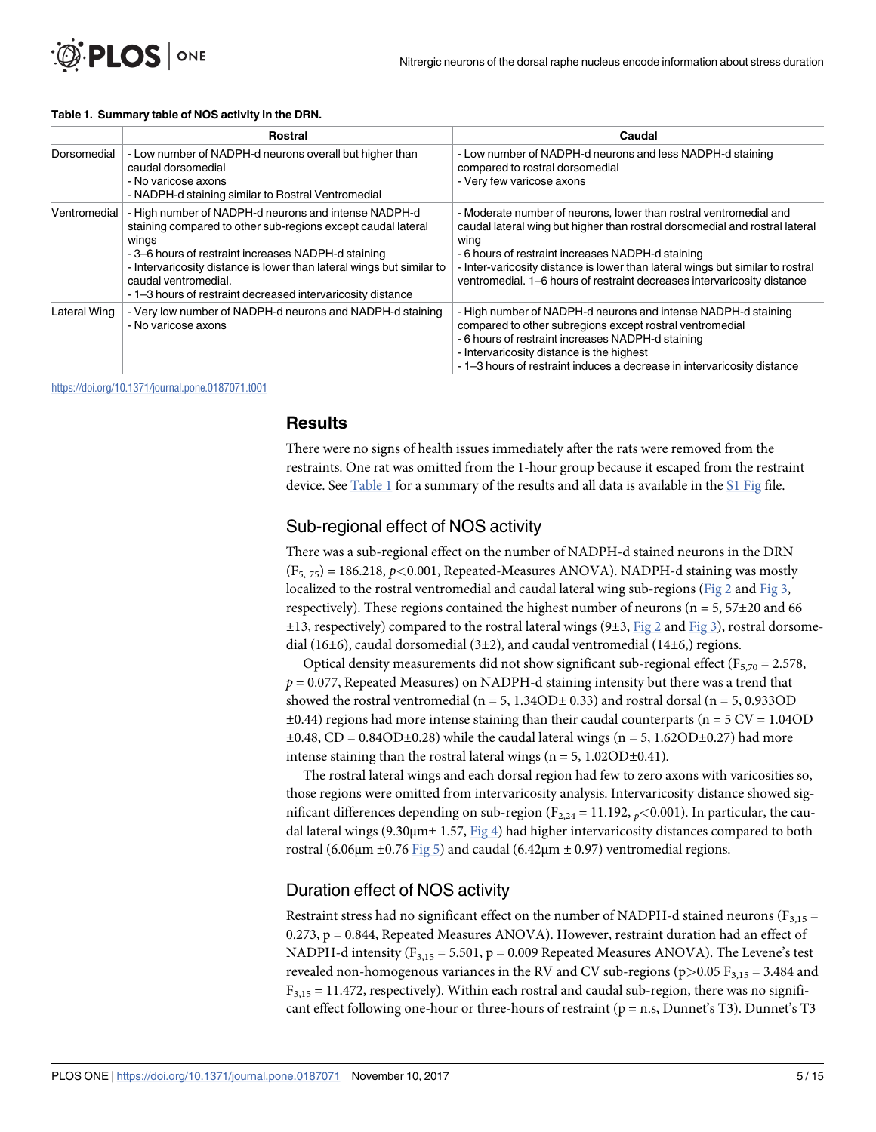#### <span id="page-4-0"></span>**Table 1. Summary table of NOS activity in the DRN.**

|              | Rostral                                                                                                                                                                                                                                                                                                                                             | Caudal                                                                                                                                                                                                                                                                                                                                                                     |
|--------------|-----------------------------------------------------------------------------------------------------------------------------------------------------------------------------------------------------------------------------------------------------------------------------------------------------------------------------------------------------|----------------------------------------------------------------------------------------------------------------------------------------------------------------------------------------------------------------------------------------------------------------------------------------------------------------------------------------------------------------------------|
| Dorsomedial  | - Low number of NADPH-d neurons overall but higher than<br>caudal dorsomedial<br>- No varicose axons<br>- NADPH-d staining similar to Rostral Ventromedial                                                                                                                                                                                          | - Low number of NADPH-d neurons and less NADPH-d staining<br>compared to rostral dorsomedial<br>- Very few varicose axons                                                                                                                                                                                                                                                  |
| Ventromedial | - High number of NADPH-d neurons and intense NADPH-d<br>staining compared to other sub-regions except caudal lateral<br>wings<br>-3–6 hours of restraint increases NADPH-d staining<br>- Intervaricosity distance is lower than lateral wings but similar to<br>caudal ventromedial.<br>- 1-3 hours of restraint decreased intervaricosity distance | - Moderate number of neurons, lower than rostral ventromedial and<br>caudal lateral wing but higher than rostral dorsomedial and rostral lateral<br>wing<br>- 6 hours of restraint increases NADPH-d staining<br>- Inter-varicosity distance is lower than lateral wings but similar to rostral<br>ventromedial. 1–6 hours of restraint decreases intervaricosity distance |
| Lateral Wing | - Very low number of NADPH-d neurons and NADPH-d staining<br>- No varicose axons                                                                                                                                                                                                                                                                    | - High number of NADPH-d neurons and intense NADPH-d staining<br>compared to other subregions except rostral ventromedial<br>- 6 hours of restraint increases NADPH-d staining<br>- Intervaricosity distance is the highest<br>- 1-3 hours of restraint induces a decrease in intervaricosity distance                                                                     |

<https://doi.org/10.1371/journal.pone.0187071.t001>

#### **Results**

There were no signs of health issues immediately after the rats were removed from the restraints. One rat was omitted from the 1-hour group because it escaped from the restraint device. See Table 1 for a summary of the results and all data is available in the [S1 Fig](#page-12-0) file.

#### Sub-regional effect of NOS activity

There was a sub-regional effect on the number of NADPH-d stained neurons in the DRN (F5, 75) = 186.218, p*<*0.001, Repeated-Measures ANOVA). NADPH-d staining was mostly localized to the rostral ventromedial and caudal lateral wing sub-regions [\(Fig 2](#page-5-0) and [Fig 3,](#page-6-0) respectively). These regions contained the highest number of neurons ( $n = 5, 57\pm20$  and 66  $\pm$ 13, respectively) compared to the rostral lateral wings (9 $\pm$ 3,  $Fig 2$  and  $Fig 3$ ), rostral dorsomedial (16 $\pm$ 6), caudal dorsomedial (3 $\pm$ 2), and caudal ventromedial (14 $\pm$ 6,) regions.

Optical density measurements did not show significant sub-regional effect ( $F_{5,70}$  = 2.578,  $p = 0.077$ , Repeated Measures) on NADPH-d staining intensity but there was a trend that showed the rostral ventromedial ( $n = 5$ , 1.34OD $\pm$  0.33) and rostral dorsal ( $n = 5$ , 0.933OD  $\pm 0.44$ ) regions had more intense staining than their caudal counterparts (n = 5 CV = 1.04OD  $\pm 0.48$ , CD = 0.84OD $\pm 0.28$ ) while the caudal lateral wings (n = 5, 1.62OD $\pm 0.27$ ) had more intense staining than the rostral lateral wings  $(n = 5, 1.02OD \pm 0.41)$ .

The rostral lateral wings and each dorsal region had few to zero axons with varicosities so, those regions were omitted from intervaricosity analysis. Intervaricosity distance showed significant differences depending on sub-region  $(F_{2,24} = 11.192, p < 0.001)$ . In particular, the caudal lateral wings (9.30 $\mu$ m $\pm$  1.57, [Fig 4](#page-7-0)) had higher intervaricosity distances compared to both rostral (6.06μm ± 0.76 [Fig 5](#page-7-0)) and caudal (6.42μm ± 0.97) ventromedial regions.

#### Duration effect of NOS activity

Restraint stress had no significant effect on the number of NADPH-d stained neurons ( $F_{3,15}$  =  $0.273$ ,  $p = 0.844$ , Repeated Measures ANOVA). However, restraint duration had an effect of NADPH-d intensity ( $F_{3,15} = 5.501$ ,  $p = 0.009$  Repeated Measures ANOVA). The Levene's test revealed non-homogenous variances in the RV and CV sub-regions ( $p$ >0.05  $F_{3,15}$  = 3.484 and  $F_{3,15} = 11.472$ , respectively). Within each rostral and caudal sub-region, there was no significant effect following one-hour or three-hours of restraint ( $p = n.s$ , Dunnet's T3). Dunnet's T3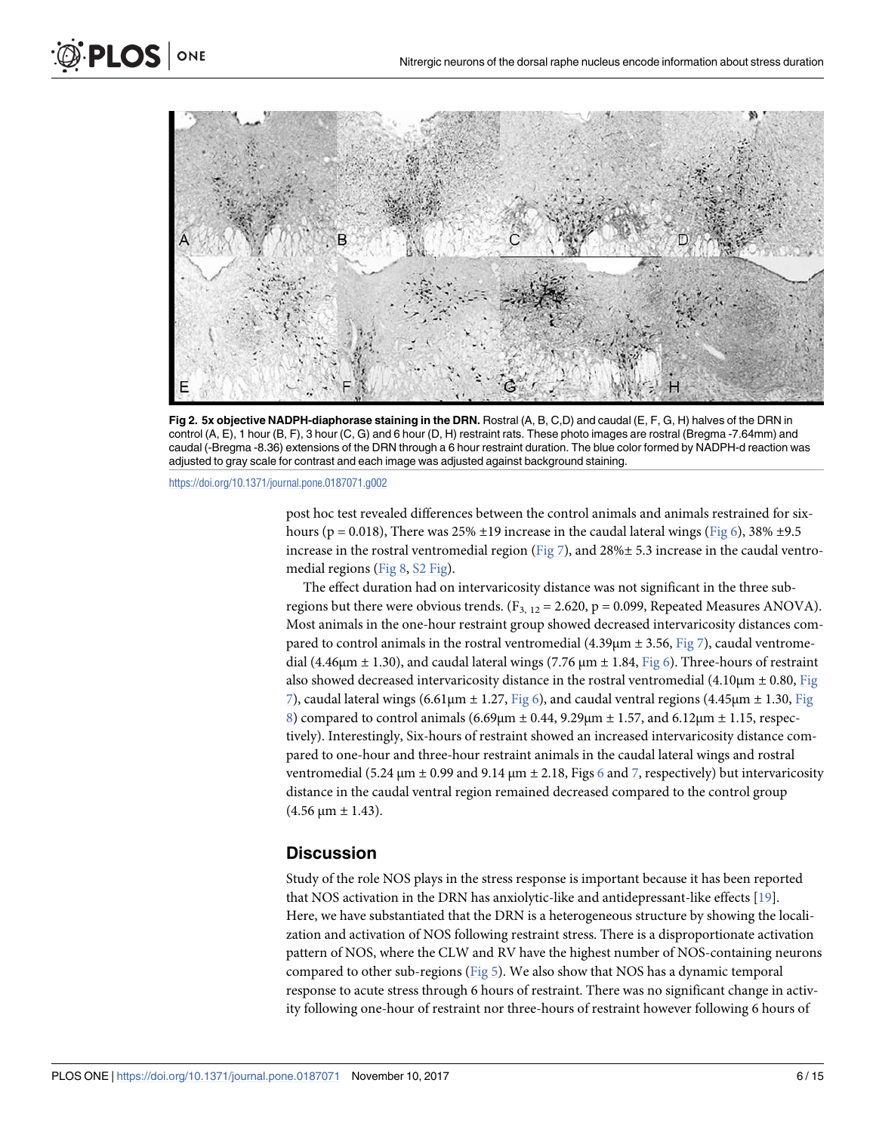<span id="page-5-0"></span>

**[Fig 2. 5](#page-4-0)x objective NADPH-diaphorase staining in the DRN.** Rostral (A, B, C,D) and caudal (E, F, G, H) halves of the DRN in control (A, E), 1 hour (B, F), 3 hour (C, G) and 6 hour (D, H) restraint rats. These photo images are rostral (Bregma -7.64mm) and caudal (-Bregma -8.36) extensions of the DRN through a 6 hour restraint duration. The blue color formed by NADPH-d reaction was adjusted to gray scale for contrast and each image was adjusted against background staining.

<https://doi.org/10.1371/journal.pone.0187071.g002>

post hoc test revealed differences between the control animals and animals restrained for sixhours (p = 0.018), There was 25%  $\pm$ 19 increase in the caudal lateral wings [\(Fig 6\)](#page-8-0), 38%  $\pm$ 9.5 increase in the rostral ventromedial region ( $Fig 7$ ), and 28% $\pm$  5.3 increase in the caudal ventromedial regions [\(Fig 8,](#page-10-0) [S2 Fig\)](#page-13-0).

The effect duration had on intervaricosity distance was not significant in the three subregions but there were obvious trends. ( $F_{3, 12} = 2.620$ ,  $p = 0.099$ , Repeated Measures ANOVA). Most animals in the one-hour restraint group showed decreased intervaricosity distances compared to control animals in the rostral ventromedial  $(4.39 \mu m \pm 3.56,$  [Fig 7](#page-9-0)), caudal ventromedial (4.46 $\mu$ m  $\pm$  1.30), and caudal lateral wings (7.76  $\mu$ m  $\pm$  1.84, [Fig 6](#page-8-0)). Three-hours of restraint also showed decreased intervaricosity distance in the rostral ventromedial  $(4.10 \mu m \pm 0.80,$  [Fig](#page-9-0) [7\)](#page-9-0), caudal lateral wings (6.61μm ± 1.27, [Fig 6\)](#page-8-0), and caudal ventral regions (4.45μm ± 1.30, [Fig](#page-10-0) [8\)](#page-10-0) compared to control animals (6.69μm  $±$  0.44, 9.29μm  $±$  1.57, and 6.12μm  $±$  1.15, respectively). Interestingly, Six-hours of restraint showed an increased intervaricosity distance compared to one-hour and three-hour restraint animals in the caudal lateral wings and rostral ventromedial (5.24  $\mu$ m  $\pm$  0.99 and 9.14  $\mu$ m  $\pm$  2.18, Figs [6](#page-8-0) and [7](#page-9-0), respectively) but intervaricosity distance in the caudal ventral region remained decreased compared to the control group  $(4.56 \,\mu m \pm 1.43)$ .

#### **Discussion**

Study of the role NOS plays in the stress response is important because it has been reported that NOS activation in the DRN has anxiolytic-like and antidepressant-like effects [\[19\]](#page-14-0). Here, we have substantiated that the DRN is a heterogeneous structure by showing the localization and activation of NOS following restraint stress. There is a disproportionate activation pattern of NOS, where the CLW and RV have the highest number of NOS-containing neurons compared to other sub-regions ([Fig 5](#page-7-0)). We also show that NOS has a dynamic temporal response to acute stress through 6 hours of restraint. There was no significant change in activity following one-hour of restraint nor three-hours of restraint however following 6 hours of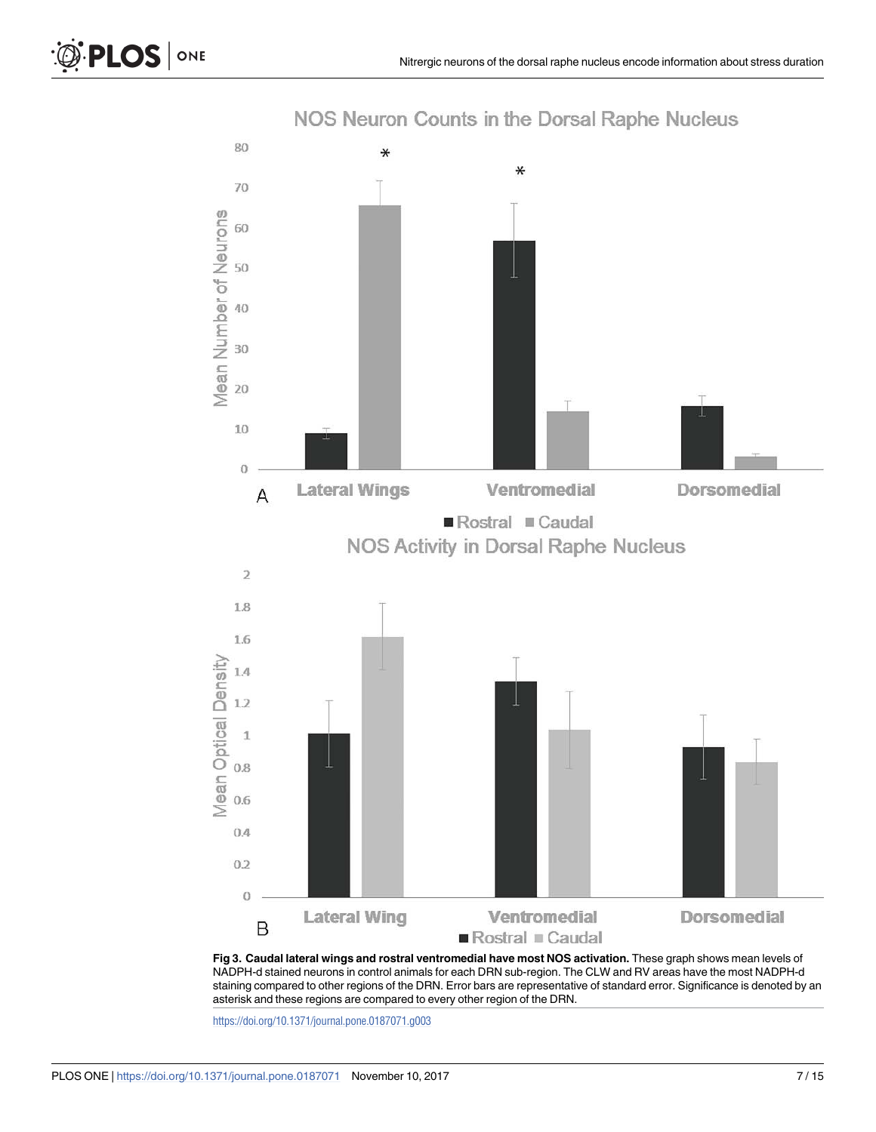<span id="page-6-0"></span>

NOS Neuron Counts in the Dorsal Raphe Nucleus

**[Fig 3. C](#page-4-0)audal lateral wings and rostral ventromedial have most NOS activation.** These graph shows mean levels of NADPH-d stained neurons in control animals for each DRN sub-region. The CLW and RV areas have the most NADPH-d staining compared to other regions of the DRN. Error bars are representative of standard error. Significance is denoted by an asterisk and these regions are compared to every other region of the DRN.

<https://doi.org/10.1371/journal.pone.0187071.g003>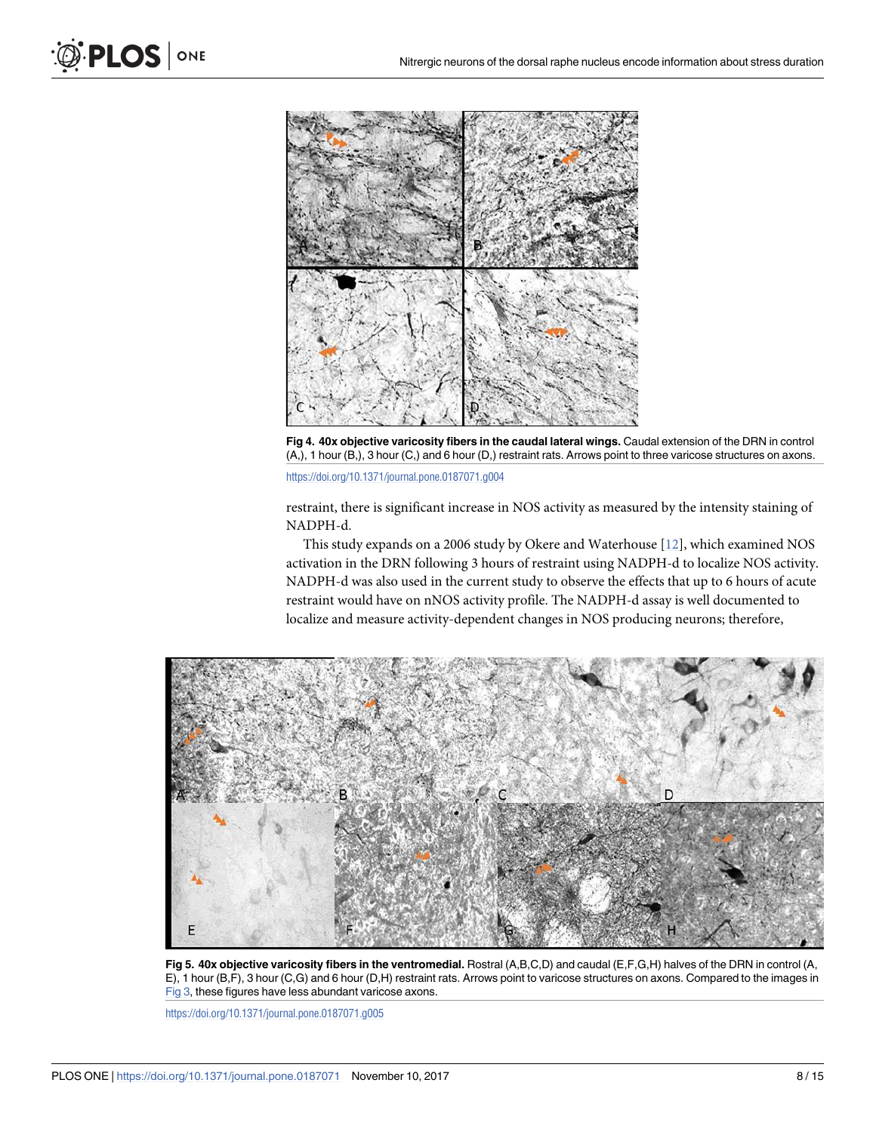<span id="page-7-0"></span>

**[Fig 4. 4](#page-4-0)0x objective varicosity fibers in the caudal lateral wings.** Caudal extension of the DRN in control (A,), 1 hour (B,), 3 hour (C,) and 6 hour (D,) restraint rats. Arrows point to three varicose structures on axons.

<https://doi.org/10.1371/journal.pone.0187071.g004>

restraint, there is significant increase in NOS activity as measured by the intensity staining of NADPH-d.

This study expands on a 2006 study by Okere and Waterhouse [\[12\]](#page-14-0), which examined NOS activation in the DRN following 3 hours of restraint using NADPH-d to localize NOS activity. NADPH-d was also used in the current study to observe the effects that up to 6 hours of acute restraint would have on nNOS activity profile. The NADPH-d assay is well documented to localize and measure activity-dependent changes in NOS producing neurons; therefore,



**[Fig 5. 4](#page-4-0)0x objective varicosity fibers in the ventromedial.** Rostral (A,B,C,D) and caudal (E,F,G,H) halves of the DRN in control (A, E), 1 hour (B,F), 3 hour (C,G) and 6 hour (D,H) restraint rats. Arrows point to varicose structures on axons. Compared to the images in [Fig 3,](#page-6-0) these figures have less abundant varicose axons.

<https://doi.org/10.1371/journal.pone.0187071.g005>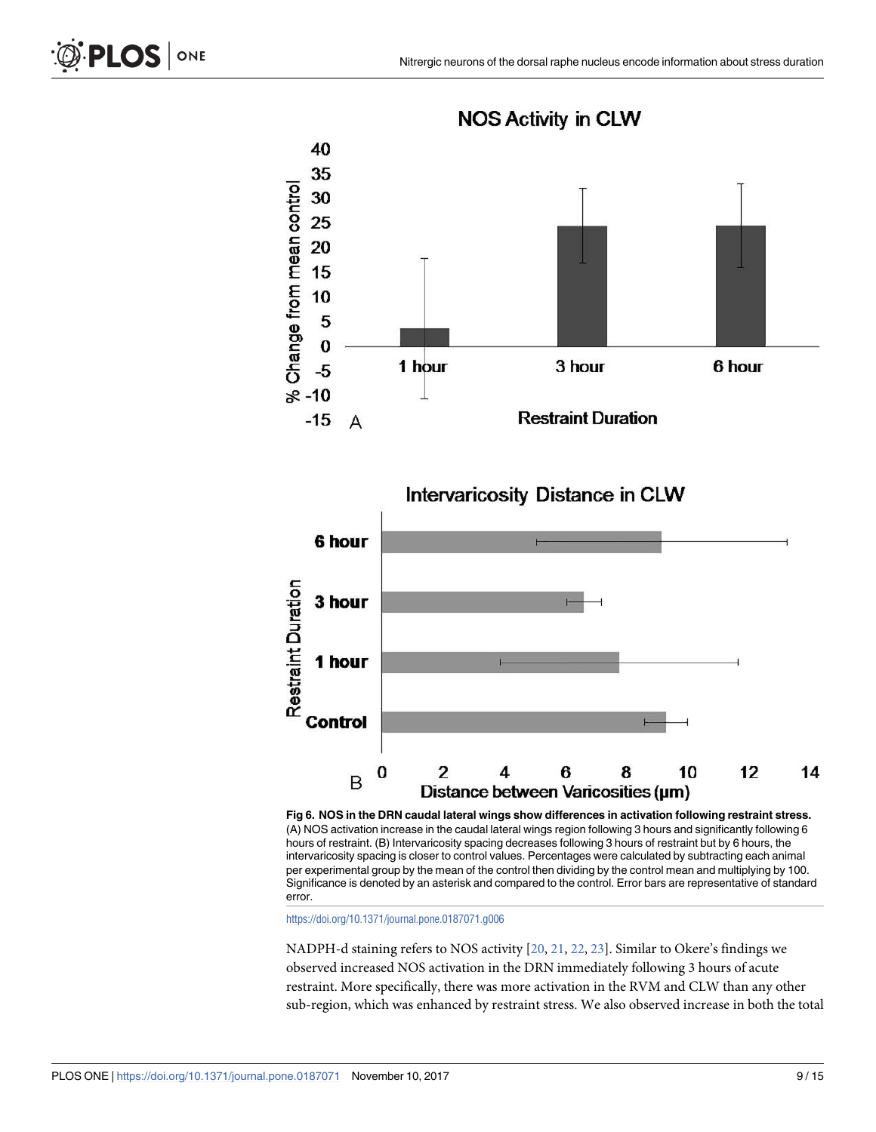<span id="page-8-0"></span>

**NOS Activity in CLW** 

**[Fig 6. N](#page-5-0)OS in the DRN caudal lateral wings show differences in activation following restraint stress.** (A) NOS activation increase in the caudal lateral wings region following 3 hours and significantly following 6 hours of restraint. (B) Intervaricosity spacing decreases following 3 hours of restraint but by 6 hours, the intervaricosity spacing is closer to control values. Percentages were calculated by subtracting each animal per experimental group by the mean of the control then dividing by the control mean and multiplying by 100. Significance is denoted by an asterisk and compared to the control. Error bars are representative of standard error.

<https://doi.org/10.1371/journal.pone.0187071.g006>

NADPH-d staining refers to NOS activity [\[20,](#page-14-0) [21,](#page-14-0) [22,](#page-14-0) [23\]](#page-14-0). Similar to Okere's findings we observed increased NOS activation in the DRN immediately following 3 hours of acute restraint. More specifically, there was more activation in the RVM and CLW than any other sub-region, which was enhanced by restraint stress. We also observed increase in both the total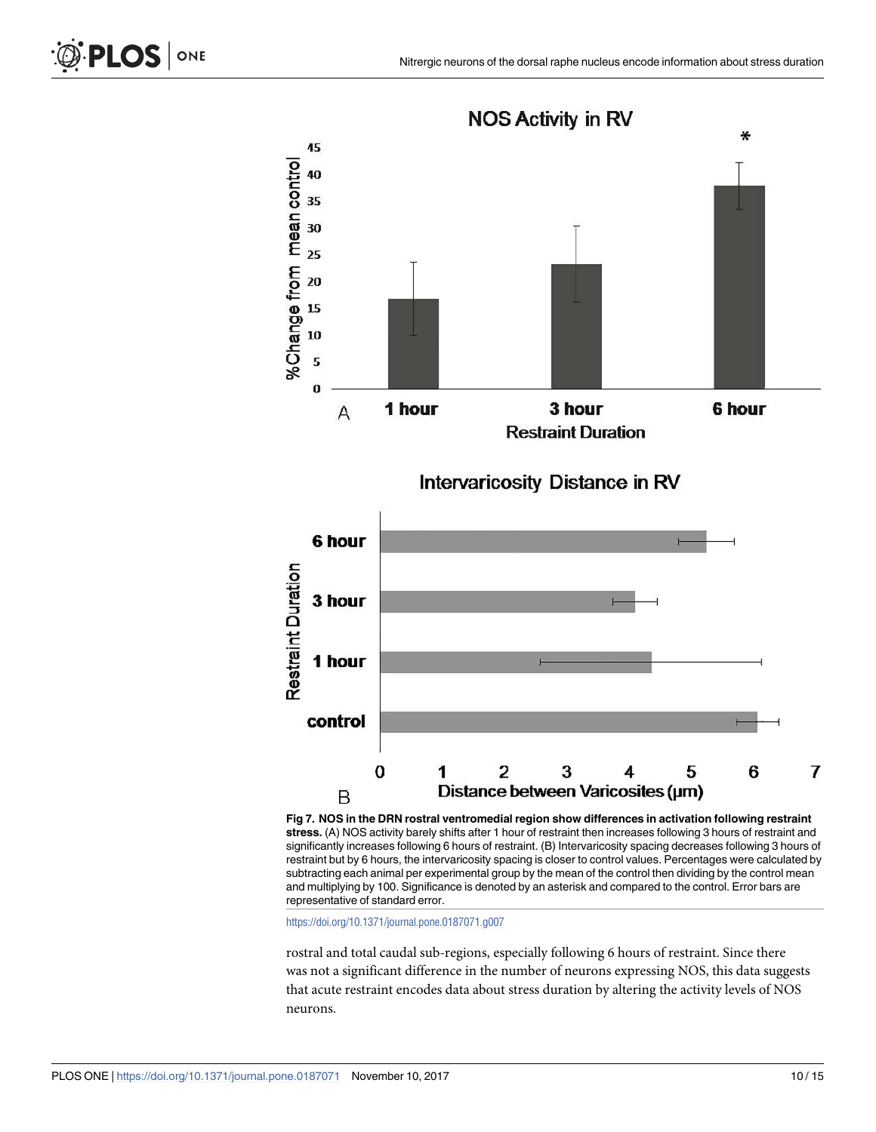<span id="page-9-0"></span>

**stress.** (A) NOS activity barely shifts after 1 hour of restraint then increases following 3 hours of restraint and significantly increases following 6 hours of restraint. (B) Intervaricosity spacing decreases following 3 hours of restraint but by 6 hours, the intervaricosity spacing is closer to control values. Percentages were calculated by subtracting each animal per experimental group by the mean of the control then dividing by the control mean and multiplying by 100. Significance is denoted by an asterisk and compared to the control. Error bars are representative of standard error.

<https://doi.org/10.1371/journal.pone.0187071.g007>

rostral and total caudal sub-regions, especially following 6 hours of restraint. Since there was not a significant difference in the number of neurons expressing NOS, this data suggests that acute restraint encodes data about stress duration by altering the activity levels of NOS neurons.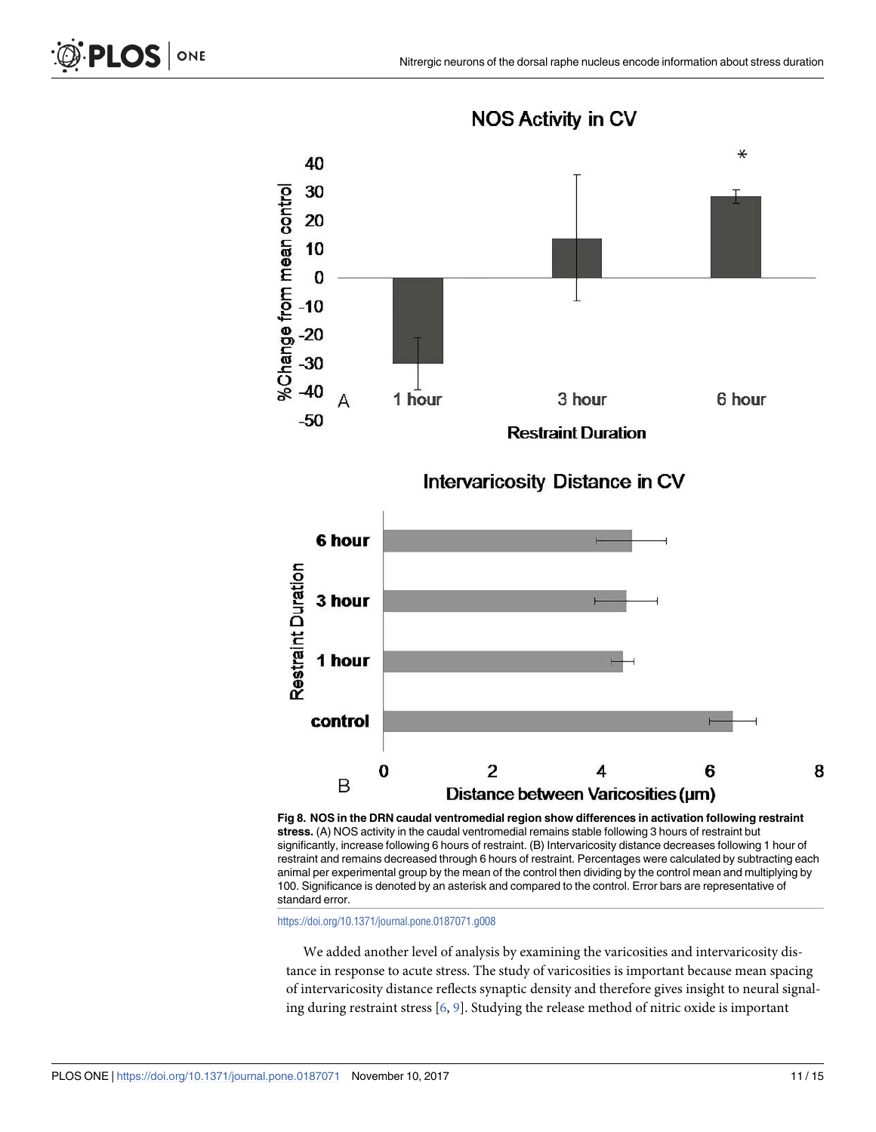<span id="page-10-0"></span>

**NOS Activity in CV** 

**[Fig 8. N](#page-5-0)OS in the DRN caudal ventromedial region show differences in activation following restraint stress.** (A) NOS activity in the caudal ventromedial remains stable following 3 hours of restraint but significantly, increase following 6 hours of restraint. (B) Intervaricosity distance decreases following 1 hour of restraint and remains decreased through 6 hours of restraint. Percentages were calculated by subtracting each animal per experimental group by the mean of the control then dividing by the control mean and multiplying by 100. Significance is denoted by an asterisk and compared to the control. Error bars are representative of standard error.

<https://doi.org/10.1371/journal.pone.0187071.g008>

We added another level of analysis by examining the varicosities and intervaricosity distance in response to acute stress. The study of varicosities is important because mean spacing of intervaricosity distance reflects synaptic density and therefore gives insight to neural signaling during restraint stress  $[6, 9]$  $[6, 9]$  $[6, 9]$  $[6, 9]$ . Studying the release method of nitric oxide is important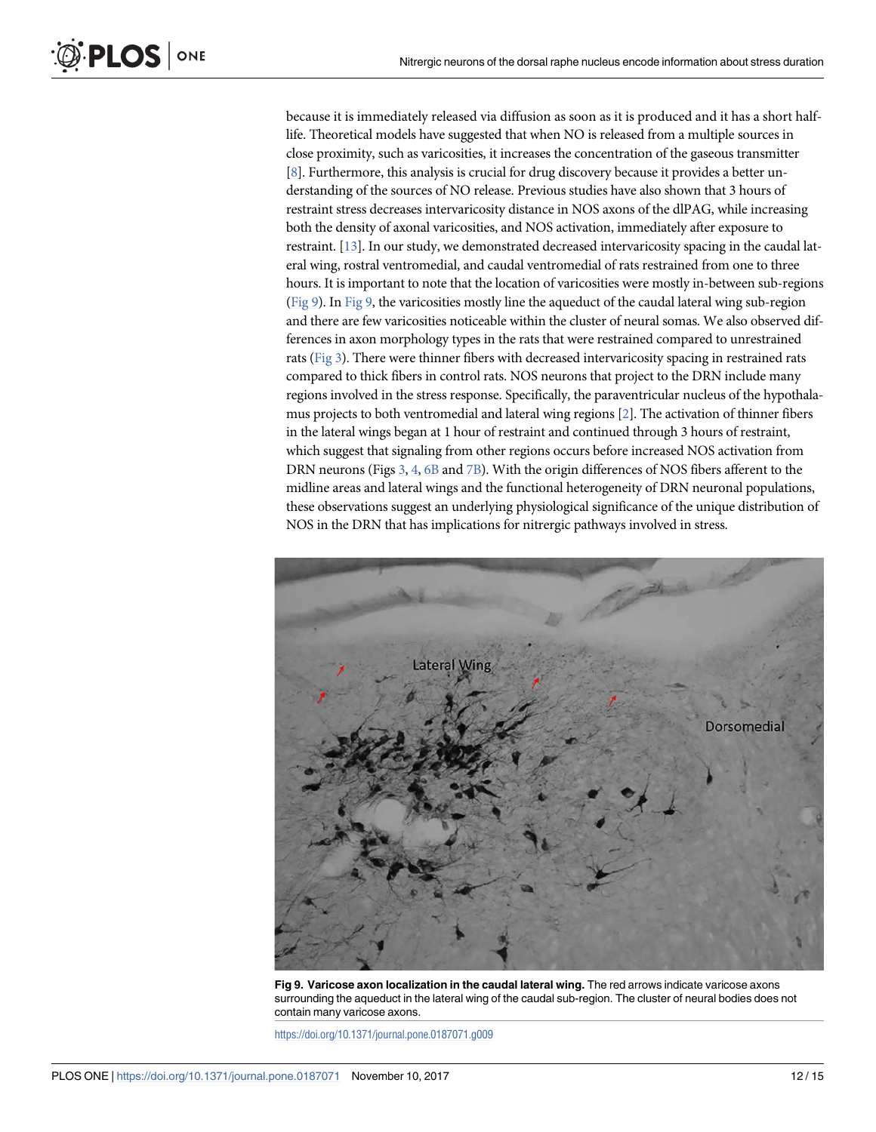because it is immediately released via diffusion as soon as it is produced and it has a short halflife. Theoretical models have suggested that when NO is released from a multiple sources in close proximity, such as varicosities, it increases the concentration of the gaseous transmitter [\[8\]](#page-14-0). Furthermore, this analysis is crucial for drug discovery because it provides a better understanding of the sources of NO release. Previous studies have also shown that 3 hours of restraint stress decreases intervaricosity distance in NOS axons of the dlPAG, while increasing both the density of axonal varicosities, and NOS activation, immediately after exposure to restraint. [\[13\]](#page-14-0). In our study, we demonstrated decreased intervaricosity spacing in the caudal lateral wing, rostral ventromedial, and caudal ventromedial of rats restrained from one to three hours. It is important to note that the location of varicosities were mostly in-between sub-regions (Fig 9). In Fig 9, the varicosities mostly line the aqueduct of the caudal lateral wing sub-region and there are few varicosities noticeable within the cluster of neural somas. We also observed differences in axon morphology types in the rats that were restrained compared to unrestrained rats ([Fig 3\)](#page-6-0). There were thinner fibers with decreased intervaricosity spacing in restrained rats compared to thick fibers in control rats. NOS neurons that project to the DRN include many regions involved in the stress response. Specifically, the paraventricular nucleus of the hypothalamus projects to both ventromedial and lateral wing regions [\[2\]](#page-13-0). The activation of thinner fibers in the lateral wings began at 1 hour of restraint and continued through 3 hours of restraint, which suggest that signaling from other regions occurs before increased NOS activation from DRN neurons (Figs [3](#page-6-0), [4](#page-7-0), [6B](#page-8-0) and [7B](#page-9-0)). With the origin differences of NOS fibers afferent to the midline areas and lateral wings and the functional heterogeneity of DRN neuronal populations, these observations suggest an underlying physiological significance of the unique distribution of NOS in the DRN that has implications for nitrergic pathways involved in stress.



**Fig 9. Varicose axon localization in the caudal lateral wing.** The red arrows indicate varicose axons surrounding the aqueduct in the lateral wing of the caudal sub-region. The cluster of neural bodies does not contain many varicose axons.

<https://doi.org/10.1371/journal.pone.0187071.g009>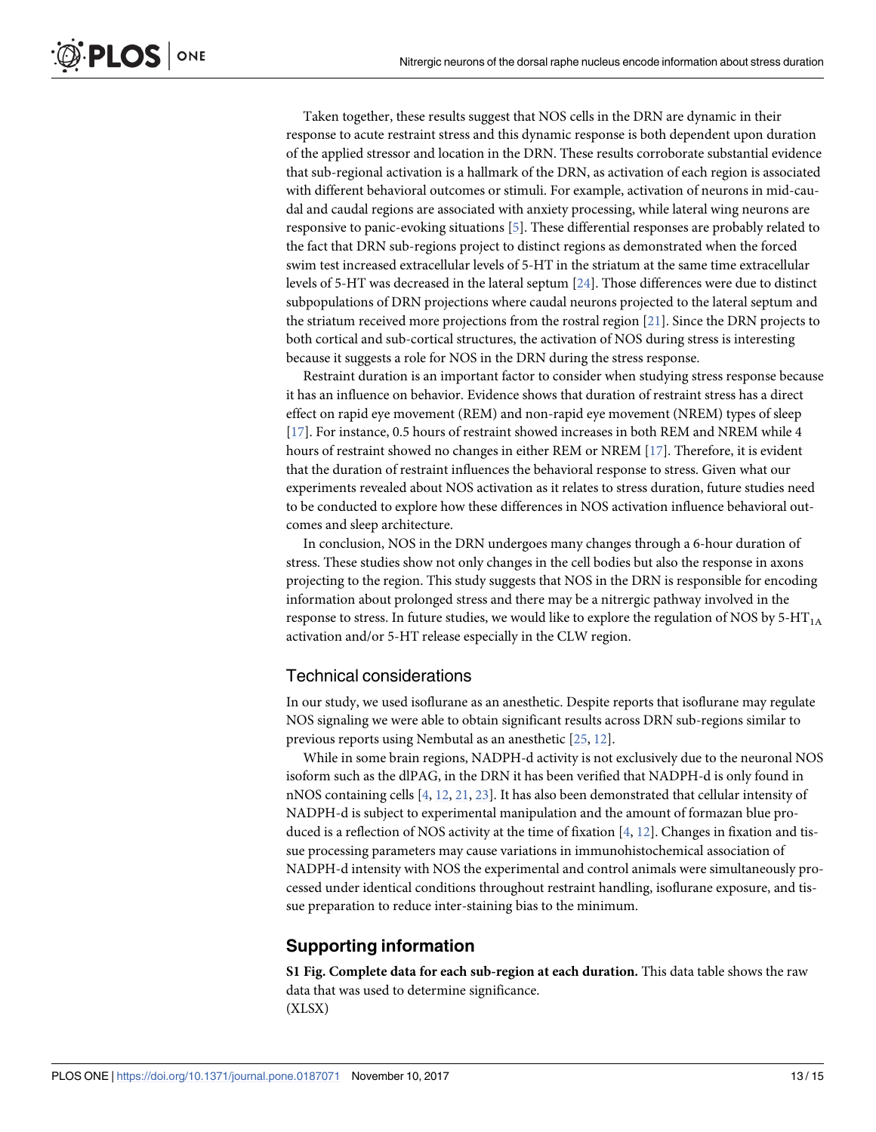<span id="page-12-0"></span>Taken together, these results suggest that NOS cells in the DRN are dynamic in their response to acute restraint stress and this dynamic response is both dependent upon duration of the applied stressor and location in the DRN. These results corroborate substantial evidence that sub-regional activation is a hallmark of the DRN, as activation of each region is associated with different behavioral outcomes or stimuli. For example, activation of neurons in mid-caudal and caudal regions are associated with anxiety processing, while lateral wing neurons are responsive to panic-evoking situations [\[5](#page-13-0)]. These differential responses are probably related to the fact that DRN sub-regions project to distinct regions as demonstrated when the forced swim test increased extracellular levels of 5-HT in the striatum at the same time extracellular levels of 5-HT was decreased in the lateral septum [\[24\]](#page-14-0). Those differences were due to distinct subpopulations of DRN projections where caudal neurons projected to the lateral septum and the striatum received more projections from the rostral region [[21](#page-14-0)]. Since the DRN projects to both cortical and sub-cortical structures, the activation of NOS during stress is interesting because it suggests a role for NOS in the DRN during the stress response.

Restraint duration is an important factor to consider when studying stress response because it has an influence on behavior. Evidence shows that duration of restraint stress has a direct effect on rapid eye movement (REM) and non-rapid eye movement (NREM) types of sleep [\[17\]](#page-14-0). For instance, 0.5 hours of restraint showed increases in both REM and NREM while 4 hours of restraint showed no changes in either REM or NREM [\[17\]](#page-14-0). Therefore, it is evident that the duration of restraint influences the behavioral response to stress. Given what our experiments revealed about NOS activation as it relates to stress duration, future studies need to be conducted to explore how these differences in NOS activation influence behavioral outcomes and sleep architecture.

In conclusion, NOS in the DRN undergoes many changes through a 6-hour duration of stress. These studies show not only changes in the cell bodies but also the response in axons projecting to the region. This study suggests that NOS in the DRN is responsible for encoding information about prolonged stress and there may be a nitrergic pathway involved in the response to stress. In future studies, we would like to explore the regulation of NOS by 5-HT<sub>1A</sub> activation and/or 5-HT release especially in the CLW region.

#### Technical considerations

In our study, we used isoflurane as an anesthetic. Despite reports that isoflurane may regulate NOS signaling we were able to obtain significant results across DRN sub-regions similar to previous reports using Nembutal as an anesthetic [\[25,](#page-14-0) [12\]](#page-14-0).

While in some brain regions, NADPH-d activity is not exclusively due to the neuronal NOS isoform such as the dlPAG, in the DRN it has been verified that NADPH-d is only found in nNOS containing cells  $[4, 12, 21, 23]$  $[4, 12, 21, 23]$  $[4, 12, 21, 23]$  $[4, 12, 21, 23]$  $[4, 12, 21, 23]$  $[4, 12, 21, 23]$  $[4, 12, 21, 23]$ . It has also been demonstrated that cellular intensity of NADPH-d is subject to experimental manipulation and the amount of formazan blue produced is a reflection of NOS activity at the time of fixation  $[4, 12]$  $[4, 12]$  $[4, 12]$  $[4, 12]$ . Changes in fixation and tissue processing parameters may cause variations in immunohistochemical association of NADPH-d intensity with NOS the experimental and control animals were simultaneously processed under identical conditions throughout restraint handling, isoflurane exposure, and tissue preparation to reduce inter-staining bias to the minimum.

#### **Supporting information**

**[S1 Fig](http://www.plosone.org/article/fetchSingleRepresentation.action?uri=info:doi/10.1371/journal.pone.0187071.s001). Complete data for each sub-region at each duration.** This data table shows the raw data that was used to determine significance. (XLSX)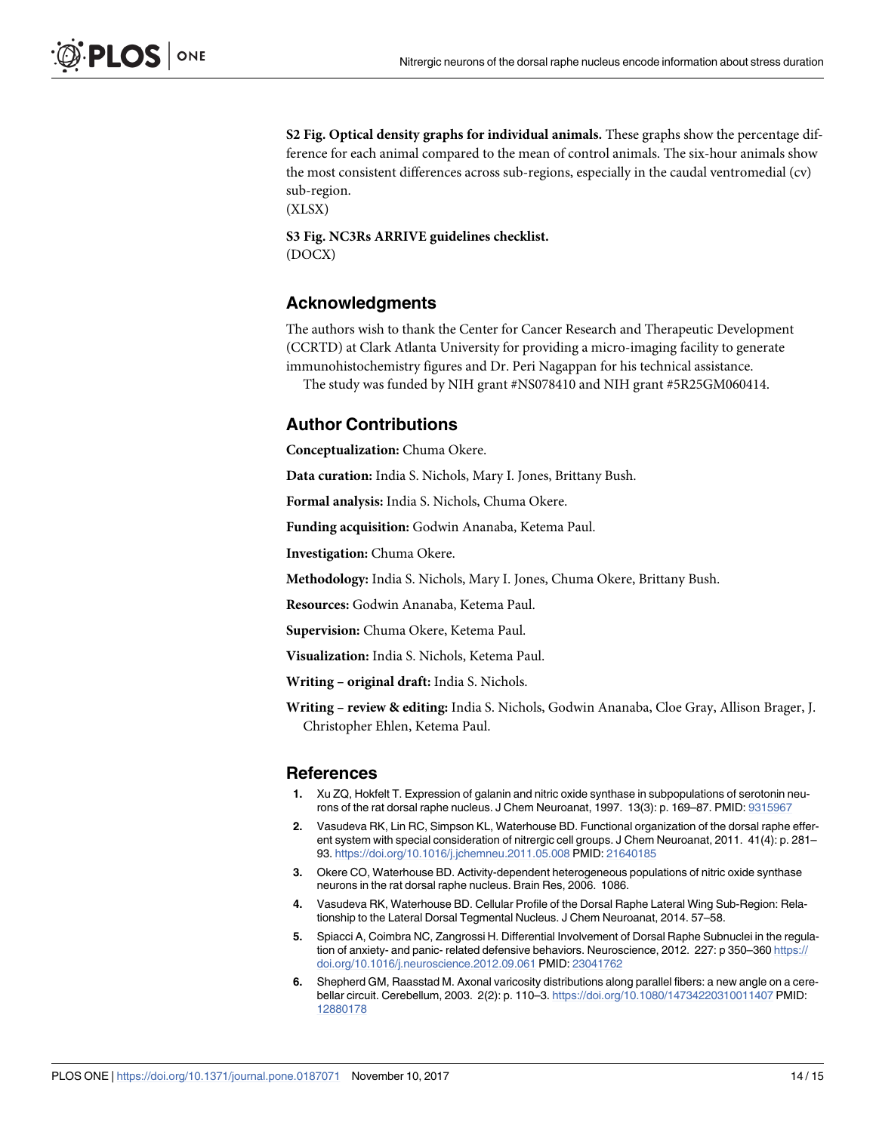<span id="page-13-0"></span>**[S2 Fig](http://www.plosone.org/article/fetchSingleRepresentation.action?uri=info:doi/10.1371/journal.pone.0187071.s002). Optical density graphs for individual animals.** These graphs show the percentage difference for each animal compared to the mean of control animals. The six-hour animals show the most consistent differences across sub-regions, especially in the caudal ventromedial (cv) sub-region.

(XLSX)

**[S3 Fig](http://www.plosone.org/article/fetchSingleRepresentation.action?uri=info:doi/10.1371/journal.pone.0187071.s003). NC3Rs ARRIVE guidelines checklist.** (DOCX)

#### **Acknowledgments**

The authors wish to thank the Center for Cancer Research and Therapeutic Development (CCRTD) at Clark Atlanta University for providing a micro-imaging facility to generate immunohistochemistry figures and Dr. Peri Nagappan for his technical assistance.

The study was funded by NIH grant #NS078410 and NIH grant #5R25GM060414.

#### **Author Contributions**

**Conceptualization:** Chuma Okere.

**Data curation:** India S. Nichols, Mary I. Jones, Brittany Bush.

**Formal analysis:** India S. Nichols, Chuma Okere.

**Funding acquisition:** Godwin Ananaba, Ketema Paul.

**Investigation:** Chuma Okere.

**Methodology:** India S. Nichols, Mary I. Jones, Chuma Okere, Brittany Bush.

**Resources:** Godwin Ananaba, Ketema Paul.

**Supervision:** Chuma Okere, Ketema Paul.

**Visualization:** India S. Nichols, Ketema Paul.

**Writing – original draft:** India S. Nichols.

**Writing – review & editing:** India S. Nichols, Godwin Ananaba, Cloe Gray, Allison Brager, J. Christopher Ehlen, Ketema Paul.

#### **References**

- **[1](#page-0-0).** Xu ZQ, Hokfelt T. Expression of galanin and nitric oxide synthase in subpopulations of serotonin neu-rons of the rat dorsal raphe nucleus. J Chem Neuroanat, 1997. 13(3): p. 169-87. PMID: [9315967](http://www.ncbi.nlm.nih.gov/pubmed/9315967)
- **[2](#page-0-0).** Vasudeva RK, Lin RC, Simpson KL, Waterhouse BD. Functional organization of the dorsal raphe efferent system with special consideration of nitrergic cell groups. J Chem Neuroanat, 2011. 41(4): p. 281– 93. <https://doi.org/10.1016/j.jchemneu.2011.05.008> PMID: [21640185](http://www.ncbi.nlm.nih.gov/pubmed/21640185)
- **[3](#page-0-0).** Okere CO, Waterhouse BD. Activity-dependent heterogeneous populations of nitric oxide synthase neurons in the rat dorsal raphe nucleus. Brain Res, 2006. 1086.
- **[4](#page-0-0).** Vasudeva RK, Waterhouse BD. Cellular Profile of the Dorsal Raphe Lateral Wing Sub-Region: Relationship to the Lateral Dorsal Tegmental Nucleus. J Chem Neuroanat, 2014. 57–58.
- **[5](#page-1-0).** Spiacci A, Coimbra NC, Zangrossi H. Differential Involvement of Dorsal Raphe Subnuclei in the regulation of anxiety- and panic- related defensive behaviors. Neuroscience, 2012. 227: p 350-360 [https://](https://doi.org/10.1016/j.neuroscience.2012.09.061) [doi.org/10.1016/j.neuroscience.2012.09.061](https://doi.org/10.1016/j.neuroscience.2012.09.061) PMID: [23041762](http://www.ncbi.nlm.nih.gov/pubmed/23041762)
- **[6](#page-1-0).** Shepherd GM, Raasstad M. Axonal varicosity distributions along parallel fibers: a new angle on a cerebellar circuit. Cerebellum, 2003. 2(2): p. 110–3. <https://doi.org/10.1080/14734220310011407> PMID: [12880178](http://www.ncbi.nlm.nih.gov/pubmed/12880178)